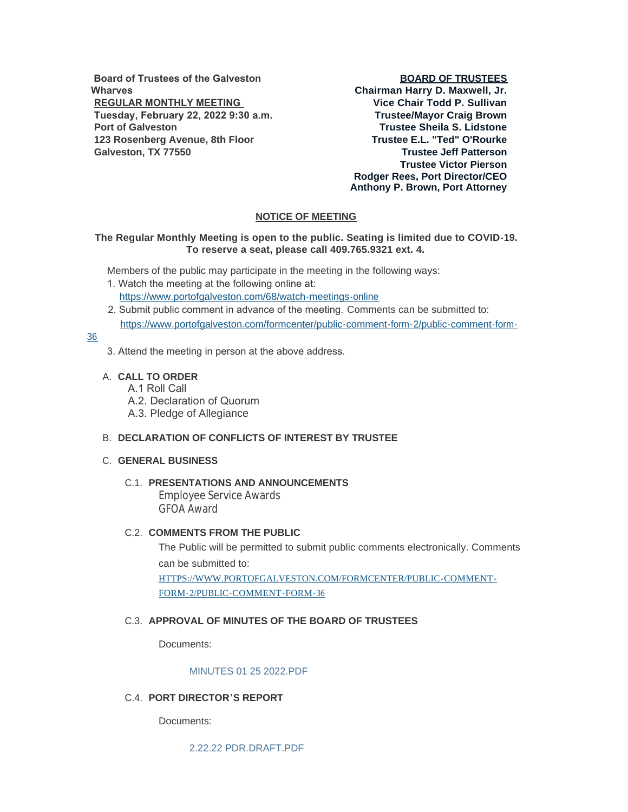**Board of Trustees of the Galveston Wharves REGULAR MONTHLY MEETING Tuesday, February 22, 2022 9:30 a.m. Port of Galveston 123 Rosenberg Avenue, 8th Floor Galveston, TX 77550**

### **BOARD OF TRUSTEES**

**Chairman Harry D. Maxwell, Jr. Vice Chair Todd P. Sullivan Trustee/Mayor Craig Brown Trustee Sheila S. Lidstone Trustee E.L. "Ted" O'Rourke Trustee Jeff Patterson Trustee Victor Pierson Rodger Rees, Port Director/CEO Anthony P. Brown, Port Attorney**

## **NOTICE OF MEETING**

## **The Regular Monthly Meeting is open to the public. Seating is limited due to COVID-19. To reserve a seat, please call 409.765.9321 ext. 4.**

Members of the public may participate in the meeting in the following ways:

- 1. Watch the meeting at the following online at: [https://www.portofgalveston.com/68/watch-meetings-online](https://www.portofgalveston.com/68/Watch-Meetings-Online)
- 2. Submit public comment in advance of the meeting. Comments can be submitted to: [https://www.portofgalveston.com/formcenter/public-comment-form-2/public-comment-form-](https://www.portofgalveston.com/formcenter/public-comment-form-2/public-comment-form-36)

## 36

- 3. Attend the meeting in person at the above address.
- **CALL TO ORDER** A.
	- A.1 Roll Call
	- A.2. Declaration of Quorum
	- A.3. Pledge of Allegiance

### **DECLARATION OF CONFLICTS OF INTEREST BY TRUSTEE** B.

### **GENERAL BUSINESS** C.

### **PRESENTATIONS AND ANNOUNCEMENTS** C.1.

Employee Service Awards GFOA Award

### **C.2. COMMENTS FROM THE PUBLIC**

The Public will be permitted to submit public comments electronically. Comments can be submitted to: [HTTPS://WWW.PORTOFGALVESTON.COM/FORMCENTER/PUBLIC-COMMENT-](https://www.portofgalveston.com/FORMCENTER/PUBLIC-COMMENT-FORM-2/PUBLIC-COMMENT-FORM-36)FORM-2/PUBLIC-COMMENT-FORM-36

## **APPROVAL OF MINUTES OF THE BOARD OF TRUSTEES** C.3.

Documents:

#### [MINUTES 01 25 2022.PDF](https://www.portofgalveston.com/AgendaCenter/ViewFile/Item/4678?fileID=8339)

### **PORT DIRECTOR'S REPORT** C.4.

Documents:

[2.22.22 PDR.DRAFT.PDF](https://www.portofgalveston.com/AgendaCenter/ViewFile/Item/4680?fileID=8341)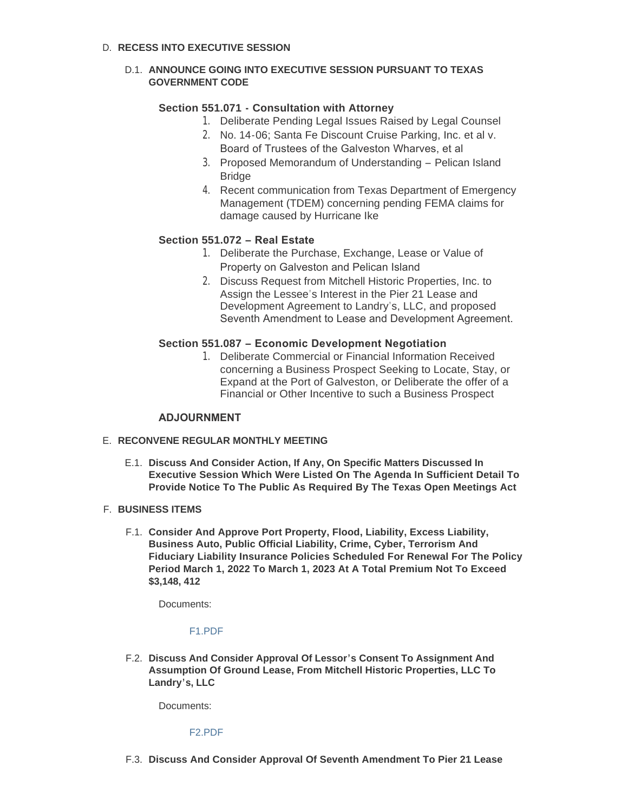# D. RECESS INTO EXECUTIVE SESSION

## D.1. ANNOUNCE GOING INTO EXECUTIVE SESSION PURSUANT TO TEXAS **GOVERNMENT CODE**

# **Section 551.071 - Consultation with Attorney**

- 1. Deliberate Pending Legal Issues Raised by Legal Counsel
- 2. No. 14-06; Santa Fe Discount Cruise Parking, Inc. et al v. Board of Trustees of the Galveston Wharves, et al
- 3. Proposed Memorandum of Understanding Pelican Island **Bridge**
- 4. Recent communication from Texas Department of Emergency Management (TDEM) concerning pending FEMA claims for damage caused by Hurricane Ike

# **Section 551.072 – Real Estate**

- 1. Deliberate the Purchase, Exchange, Lease or Value of Property on Galveston and Pelican Island
- 2. Discuss Request from Mitchell Historic Properties, Inc. to Assign the Lessee's Interest in the Pier 21 Lease and Development Agreement to Landry's, LLC, and proposed Seventh Amendment to Lease and Development Agreement.

# **Section 551.087 – Economic Development Negotiation**

1. Deliberate Commercial or Financial Information Received concerning a Business Prospect Seeking to Locate, Stay, or Expand at the Port of Galveston, or Deliberate the offer of a Financial or Other Incentive to such a Business Prospect

# **ADJOURNMENT**

### **RECONVENE REGULAR MONTHLY MEETING** E.

**Discuss And Consider Action, If Any, On Specific Matters Discussed In**  E.1. **Executive Session Which Were Listed On The Agenda In Sufficient Detail To Provide Notice To The Public As Required By The Texas Open Meetings Act** 

### **BUSINESS ITEMS** F.

**Consider And Approve Port Property, Flood, Liability, Excess Liability,**  F.1. **Business Auto, Public Official Liability, Crime, Cyber, Terrorism And Fiduciary Liability Insurance Policies Scheduled For Renewal For The Policy Period March 1, 2022 To March 1, 2023 At A Total Premium Not To Exceed \$3,148, 412**

Documents:

### [F1.PDF](https://www.portofgalveston.com/AgendaCenter/ViewFile/Item/4696?fileID=8331)

**Discuss And Consider Approval Of Lessor's Consent To Assignment And**  F.2. **Assumption Of Ground Lease, From Mitchell Historic Properties, LLC To Landry's, LLC**

Documents:

### [F2.PDF](https://www.portofgalveston.com/AgendaCenter/ViewFile/Item/4704?fileID=8333)

**Discuss And Consider Approval Of Seventh Amendment To Pier 21 Lease**  F.3.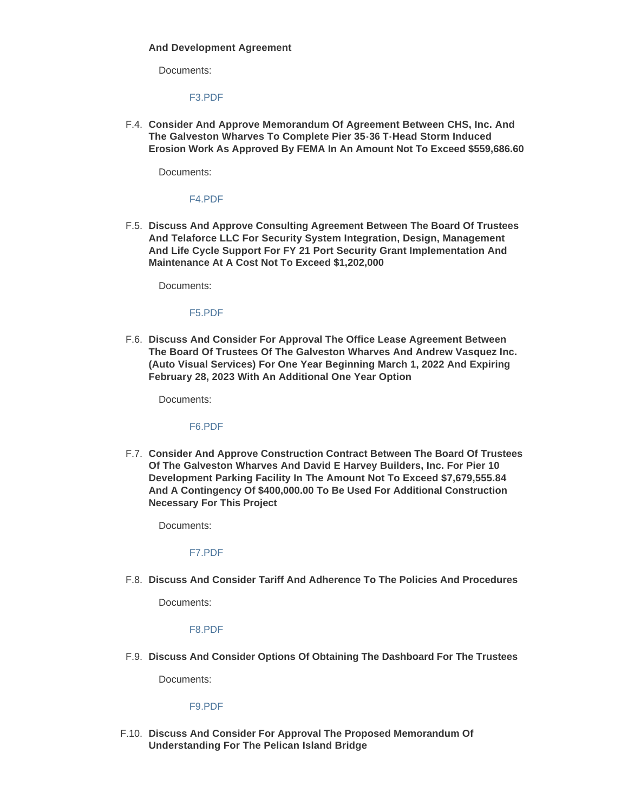#### **And Development Agreement**

Documents:

#### [F3.PDF](https://www.portofgalveston.com/AgendaCenter/ViewFile/Item/4705?fileID=8334)

**Consider And Approve Memorandum Of Agreement Between CHS, Inc. And**  F.4. **The Galveston Wharves To Complete Pier 35-36 T-Head Storm Induced Erosion Work As Approved By FEMA In An Amount Not To Exceed \$559,686.60**

Documents:

# [F4.PDF](https://www.portofgalveston.com/AgendaCenter/ViewFile/Item/4700?fileID=8330)

**Discuss And Approve Consulting Agreement Between The Board Of Trustees**  F.5. **And Telaforce LLC For Security System Integration, Design, Management And Life Cycle Support For FY 21 Port Security Grant Implementation And Maintenance At A Cost Not To Exceed \$1,202,000**

Documents:

#### [F5.PDF](https://www.portofgalveston.com/AgendaCenter/ViewFile/Item/4698?fileID=8332)

**Discuss And Consider For Approval The Office Lease Agreement Between**  F.6. **The Board Of Trustees Of The Galveston Wharves And Andrew Vasquez Inc. (Auto Visual Services) For One Year Beginning March 1, 2022 And Expiring February 28, 2023 With An Additional One Year Option**

Documents:

#### [F6.PDF](https://www.portofgalveston.com/AgendaCenter/ViewFile/Item/4697?fileID=8335)

**Consider And Approve Construction Contract Between The Board Of Trustees**  F.7. **Of The Galveston Wharves And David E Harvey Builders, Inc. For Pier 10 Development Parking Facility In The Amount Not To Exceed \$7,679,555.84 And A Contingency Of \$400,000.00 To Be Used For Additional Construction Necessary For This Project**

Documents:

#### [F7.PDF](https://www.portofgalveston.com/AgendaCenter/ViewFile/Item/4699?fileID=8329)

**Discuss And Consider Tariff And Adherence To The Policies And Procedures** F.8.

Documents:

#### [F8.PDF](https://www.portofgalveston.com/AgendaCenter/ViewFile/Item/4702?fileID=8338)

**Discuss And Consider Options Of Obtaining The Dashboard For The Trustees** F.9.

Documents:

#### [F9.PDF](https://www.portofgalveston.com/AgendaCenter/ViewFile/Item/4701?fileID=8337)

**Discuss And Consider For Approval The Proposed Memorandum Of**  F.10. **Understanding For The Pelican Island Bridge**